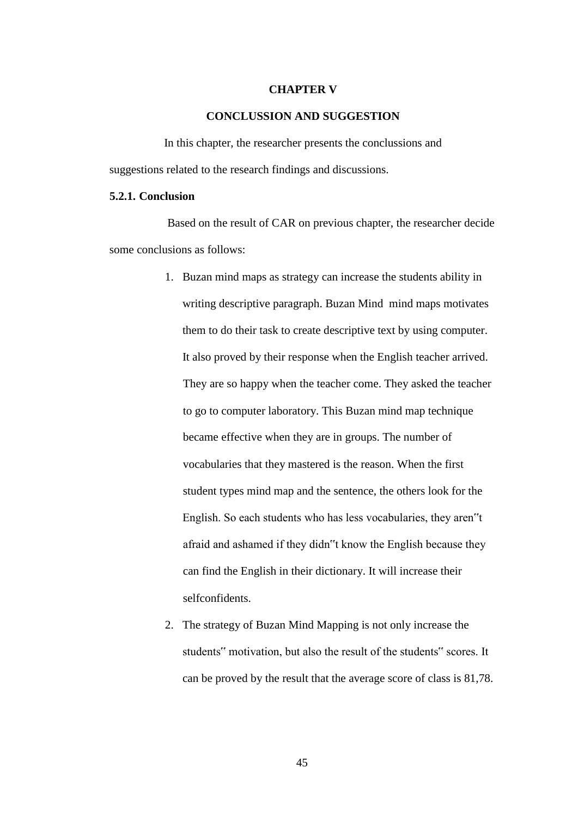#### **CHAPTER V**

### **CONCLUSSION AND SUGGESTION**

In this chapter, the researcher presents the conclussions and suggestions related to the research findings and discussions.

## **5.2.1. Conclusion**

Based on the result of CAR on previous chapter, the researcher decide some conclusions as follows:

- 1. Buzan mind maps as strategy can increase the students ability in writing descriptive paragraph. Buzan Mind mind maps motivates them to do their task to create descriptive text by using computer. It also proved by their response when the English teacher arrived. They are so happy when the teacher come. They asked the teacher to go to computer laboratory. This Buzan mind map technique became effective when they are in groups. The number of vocabularies that they mastered is the reason. When the first student types mind map and the sentence, the others look for the English. So each students who has less vocabularies, they aren"t afraid and ashamed if they didn"t know the English because they can find the English in their dictionary. It will increase their selfconfidents.
- 2. The strategy of Buzan Mind Mapping is not only increase the students" motivation, but also the result of the students" scores. It can be proved by the result that the average score of class is 81,78.

45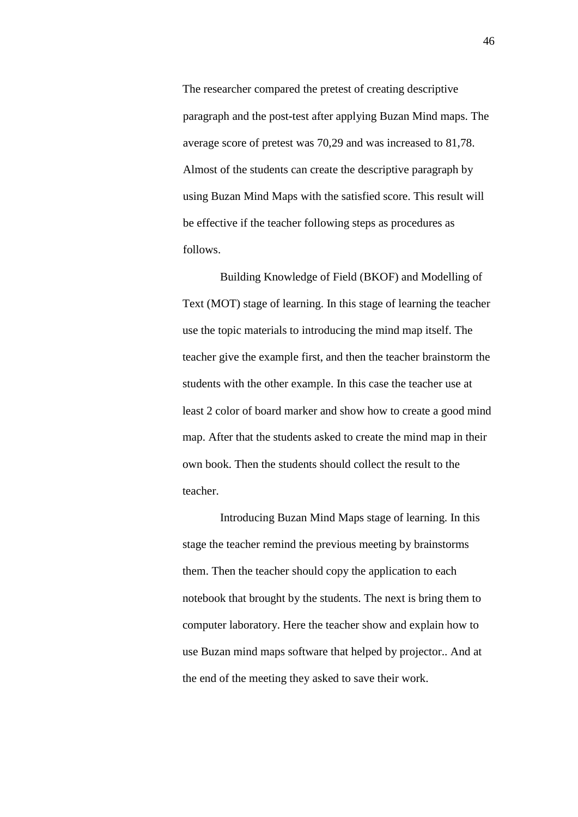The researcher compared the pretest of creating descriptive paragraph and the post-test after applying Buzan Mind maps. The average score of pretest was 70,29 and was increased to 81,78. Almost of the students can create the descriptive paragraph by using Buzan Mind Maps with the satisfied score. This result will be effective if the teacher following steps as procedures as follows.

Building Knowledge of Field (BKOF) and Modelling of Text (MOT) stage of learning. In this stage of learning the teacher use the topic materials to introducing the mind map itself. The teacher give the example first, and then the teacher brainstorm the students with the other example. In this case the teacher use at least 2 color of board marker and show how to create a good mind map. After that the students asked to create the mind map in their own book. Then the students should collect the result to the teacher.

Introducing Buzan Mind Maps stage of learning. In this stage the teacher remind the previous meeting by brainstorms them. Then the teacher should copy the application to each notebook that brought by the students. The next is bring them to computer laboratory. Here the teacher show and explain how to use Buzan mind maps software that helped by projector.. And at the end of the meeting they asked to save their work.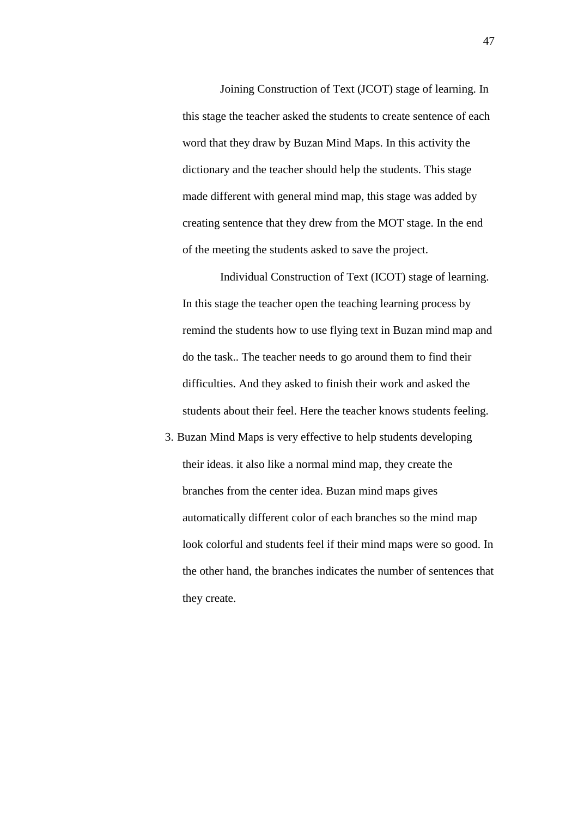Joining Construction of Text (JCOT) stage of learning. In this stage the teacher asked the students to create sentence of each word that they draw by Buzan Mind Maps. In this activity the dictionary and the teacher should help the students. This stage made different with general mind map, this stage was added by creating sentence that they drew from the MOT stage. In the end of the meeting the students asked to save the project.

Individual Construction of Text (ICOT) stage of learning. In this stage the teacher open the teaching learning process by remind the students how to use flying text in Buzan mind map and do the task.. The teacher needs to go around them to find their difficulties. And they asked to finish their work and asked the students about their feel. Here the teacher knows students feeling.

3. Buzan Mind Maps is very effective to help students developing their ideas. it also like a normal mind map, they create the branches from the center idea. Buzan mind maps gives automatically different color of each branches so the mind map look colorful and students feel if their mind maps were so good. In the other hand, the branches indicates the number of sentences that they create.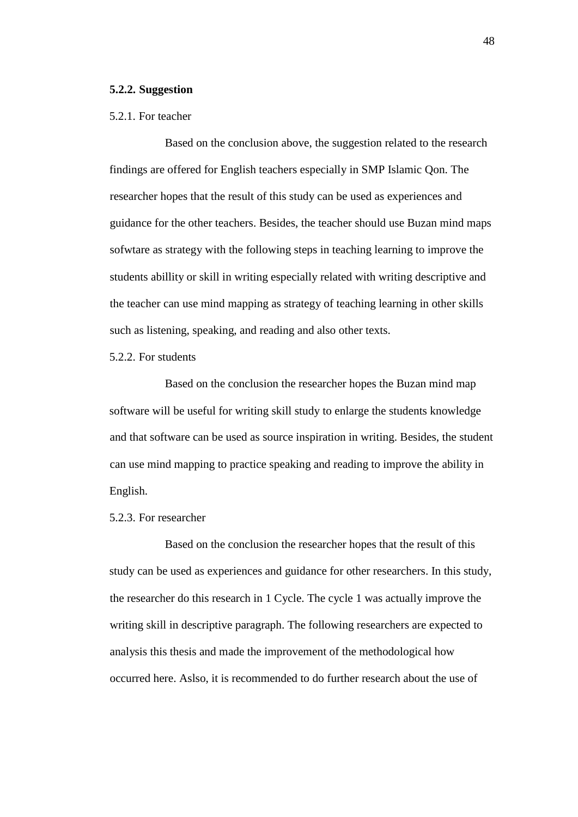#### **5.2.2. Suggestion**

## 5.2.1. For teacher

Based on the conclusion above, the suggestion related to the research findings are offered for English teachers especially in SMP Islamic Qon. The researcher hopes that the result of this study can be used as experiences and guidance for the other teachers. Besides, the teacher should use Buzan mind maps sofwtare as strategy with the following steps in teaching learning to improve the students abillity or skill in writing especially related with writing descriptive and the teacher can use mind mapping as strategy of teaching learning in other skills such as listening, speaking, and reading and also other texts.

# 5.2.2. For students

Based on the conclusion the researcher hopes the Buzan mind map software will be useful for writing skill study to enlarge the students knowledge and that software can be used as source inspiration in writing. Besides, the student can use mind mapping to practice speaking and reading to improve the ability in English.

## 5.2.3. For researcher

Based on the conclusion the researcher hopes that the result of this study can be used as experiences and guidance for other researchers. In this study, the researcher do this research in 1 Cycle. The cycle 1 was actually improve the writing skill in descriptive paragraph. The following researchers are expected to analysis this thesis and made the improvement of the methodological how occurred here. Aslso, it is recommended to do further research about the use of